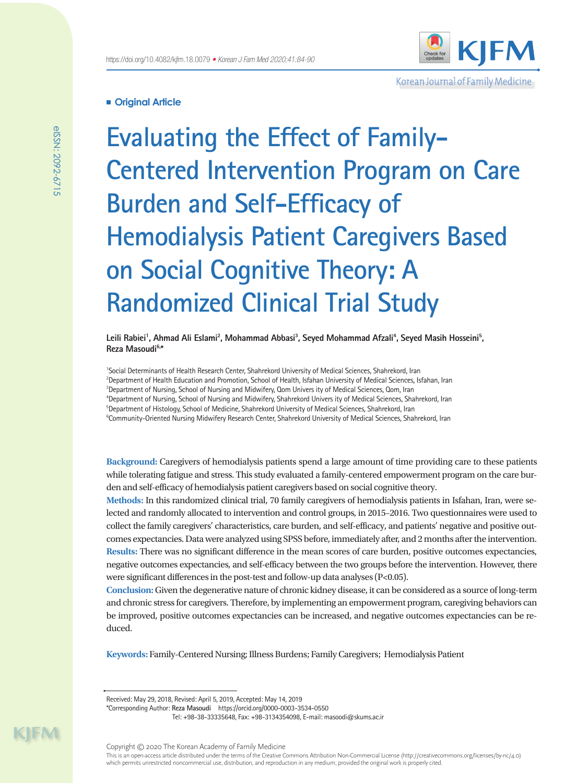

Korean Journal of Family Medicine

# **Original Article**

**Evaluating the Effect of Family-Centered Intervention Program on Care Burden and Self-Efficacy of Hemodialysis Patient Caregivers Based on Social Cognitive Theory: A Randomized Clinical Trial Study**

Leili Rabiei<sup>1</sup>, Ahmad Ali Eslami<sup>2</sup>, Mohammad Abbasi<sup>3</sup>, Seyed Mohammad Afzali<sup>4</sup>, Seyed Masih Hosseini<sup>5</sup>, **Reza Masoudi6,\***

 Social Determinants of Health Research Center, Shahrekord University of Medical Sciences, Shahrekord, Iran Department of Health Education and Promotion, School of Health, Isfahan University of Medical Sciences, Isfahan, Iran Department of Nursing, School of Nursing and Midwifery, Qom Univers ity of Medical Sciences, Qom, Iran Department of Nursing, School of Nursing and Midwifery, Shahrekord Univers ity of Medical Sciences, Shahrekord, Iran Department of Histology, School of Medicine, Shahrekord University of Medical Sciences, Shahrekord, Iran Community-Oriented Nursing Midwifery Research Center, Shahrekord University of Medical Sciences, Shahrekord, Iran

**Background:** Caregivers of hemodialysis patients spend a large amount of time providing care to these patients while tolerating fatigue and stress. This study evaluated a family-centered empowerment program on the care burden and self-efficacy of hemodialysis patient caregivers based on social cognitive theory.

**Methods:** In this randomized clinical trial, 70 family caregivers of hemodialysis patients in Isfahan, Iran, were selected and randomly allocated to intervention and control groups, in 2015–2016. Two questionnaires were used to collect the family caregivers' characteristics, care burden, and self-efficacy, and patients' negative and positive outcomes expectancies. Data were analyzed using SPSS before, immediately after, and 2 months after the intervention. **Results:** There was no significant difference in the mean scores of care burden, positive outcomes expectancies, negative outcomes expectancies, and self-efficacy between the two groups before the intervention. However, there were significant differences in the post-test and follow-up data analyses (P<0.05).

**Conclusion:** Given the degenerative nature of chronic kidney disease, it can be considered as a source of long-term and chronic stress for caregivers. Therefore, by implementing an empowerment program, caregiving behaviors can be improved, positive outcomes expectancies can be increased, and negative outcomes expectancies can be reduced.

**Keywords:** Family-Centered Nursing; Illness Burdens; Family Caregivers; Hemodialysis Patient

Received: May 29, 2018, Revised: April 5, 2019, Accepted: May 14, 2019

<sup>\*</sup>Corresponding Author: **Reza Masoudi** https://orcid.org/0000-0003-3534-0550 Tel: +98-38-33335648, Fax: +98-3134354098, E-mail: masoodi@skums.ac.ir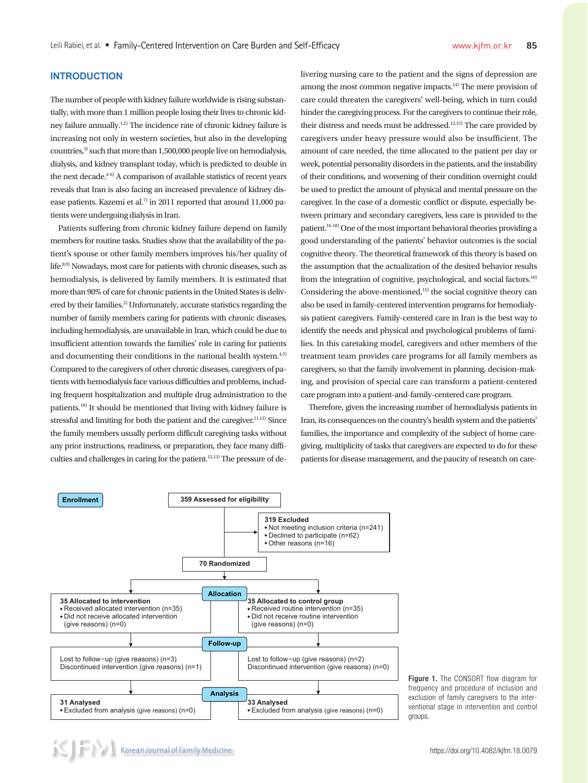# **INTRODUCTION**

The number of people with kidney failure worldwide is rising substantially, with more than 1 million people losing their lives to chronic kidney failure annually.1,2) The incidence rate of chronic kidney failure is increasing not only in western societies, but also in the developing countries,<sup>3)</sup> such that more than 1,500,000 people live on hemodialysis, dialysis, and kidney transplant today, which is predicted to double in the next decade.<sup>4-6)</sup> A comparison of available statistics of recent years reveals that Iran is also facing an increased prevalence of kidney disease patients. Kazemi et al.<sup>7)</sup> in 2011 reported that around 11,000 patients were undergoing dialysis in Iran.

Patients suffering from chronic kidney failure depend on family members for routine tasks. Studies show that the availability of the patient's spouse or other family members improves his/her quality of life.<sup>8,9)</sup> Nowadays, most care for patients with chronic diseases, such as hemodialysis, is delivered by family members. It is estimated that more than 90% of care for chronic patients in the United States is delivered by their families.<sup>5)</sup> Unfortunately, accurate statistics regarding the number of family members caring for patients with chronic diseases, including hemodialysis, are unavailable in Iran, which could be due to insufficient attention towards the families' role in caring for patients and documenting their conditions in the national health system.<sup>4,5)</sup> Compared to the caregivers of other chronic diseases, caregivers of patients with hemodialysis face various difficulties and problems, including frequent hospitalization and multiple drug administration to the patients.10) It should be mentioned that living with kidney failure is stressful and limiting for both the patient and the caregiver.<sup>11,12)</sup> Since the family members usually perform difficult caregiving tasks without any prior instructions, readiness, or preparation, they face many difficulties and challenges in caring for the patient.<sup>12,13)</sup> The pressure of delivering nursing care to the patient and the signs of depression are among the most common negative impacts.<sup>14)</sup> The mere provision of care could threaten the caregivers' well-being, which in turn could hinder the caregiving process. For the caregivers to continue their role, their distress and needs must be addressed.<sup>12,15)</sup> The care provided by caregivers under heavy pressure would also be insufficient. The amount of care needed, the time allocated to the patient per day or week, potential personality disorders in the patients, and the instability of their conditions, and worsening of their condition overnight could be used to predict the amount of physical and mental pressure on the caregiver. In the case of a domestic conflict or dispute, especially between primary and secondary caregivers, less care is provided to the patient.16-18) One of the most important behavioral theories providing a good understanding of the patients' behavior outcomes is the social cognitive theory. The theoretical framework of this theory is based on the assumption that the actualization of the desired behavior results from the integration of cognitive, psychological, and social factors.<sup>10)</sup> Considering the above-mentioned, $15$  the social cognitive theory can also be used in family-centered intervention programs for hemodialysis patient caregivers. Family-centered care in Iran is the best way to identify the needs and physical and psychological problems of families. In this caretaking model, caregivers and other members of the treatment team provides care programs for all family members as caregivers, so that the family involvement in planning, decision-making, and provision of special care can transform a patient-centered care program into a patient-and-family-centered care program.

Therefore, given the increasing number of hemodialysis patients in Iran, its consequences on the country's health system and the patients' families, the importance and complexity of the subject of home caregiving, multiplicity of tasks that caregivers are expected to do for these patients for disease management, and the paucity of research on care-



Figure 1. The CONSORT flow diagram for frequency and procedure of inclusion and exclusion of family caregivers to the interventional stage in intervention and control groups.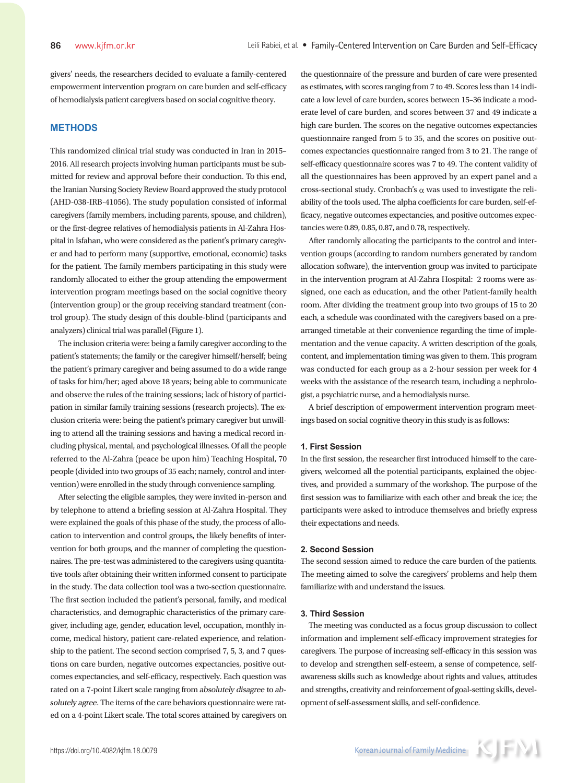givers' needs, the researchers decided to evaluate a family-centered empowerment intervention program on care burden and self-efficacy of hemodialysis patient caregivers based on social cognitive theory.

### **METHODS**

This randomized clinical trial study was conducted in Iran in 2015– 2016. All research projects involving human participants must be submitted for review and approval before their conduction. To this end, the Iranian Nursing Society Review Board approved the study protocol (AHD-038-IRB-41056). The study population consisted of informal caregivers (family members, including parents, spouse, and children), or the first-degree relatives of hemodialysis patients in Al-Zahra Hospital in Isfahan, who were considered as the patient's primary caregiver and had to perform many (supportive, emotional, economic) tasks for the patient. The family members participating in this study were randomly allocated to either the group attending the empowerment intervention program meetings based on the social cognitive theory (intervention group) or the group receiving standard treatment (control group). The study design of this double-blind (participants and analyzers) clinical trial was parallel (Figure 1).

The inclusion criteria were: being a family caregiver according to the patient's statements; the family or the caregiver himself/herself; being the patient's primary caregiver and being assumed to do a wide range of tasks for him/her; aged above 18 years; being able to communicate and observe the rules of the training sessions; lack of history of participation in similar family training sessions (research projects). The exclusion criteria were: being the patient's primary caregiver but unwilling to attend all the training sessions and having a medical record including physical, mental, and psychological illnesses. Of all the people referred to the Al-Zahra (peace be upon him) Teaching Hospital, 70 people (divided into two groups of 35 each; namely, control and intervention) were enrolled in the study through convenience sampling.

After selecting the eligible samples, they were invited in-person and by telephone to attend a briefing session at Al-Zahra Hospital. They were explained the goals of this phase of the study, the process of allocation to intervention and control groups, the likely benefits of intervention for both groups, and the manner of completing the questionnaires. The pre-test was administered to the caregivers using quantitative tools after obtaining their written informed consent to participate in the study. The data collection tool was a two-section questionnaire. The first section included the patient's personal, family, and medical characteristics, and demographic characteristics of the primary caregiver, including age, gender, education level, occupation, monthly income, medical history, patient care-related experience, and relationship to the patient. The second section comprised 7, 5, 3, and 7 questions on care burden, negative outcomes expectancies, positive outcomes expectancies, and self-efficacy, respectively. Each question was rated on a 7-point Likert scale ranging from absolutely disagree to absolutely agree. The items of the care behaviors questionnaire were rated on a 4-point Likert scale. The total scores attained by caregivers on

the questionnaire of the pressure and burden of care were presented as estimates, with scores ranging from 7 to 49. Scores less than 14 indicate a low level of care burden, scores between 15–36 indicate a moderate level of care burden, and scores between 37 and 49 indicate a high care burden. The scores on the negative outcomes expectancies questionnaire ranged from 5 to 35, and the scores on positive outcomes expectancies questionnaire ranged from 3 to 21. The range of self-efficacy questionnaire scores was 7 to 49. The content validity of all the questionnaires has been approved by an expert panel and a cross-sectional study. Cronbach's  $\alpha$  was used to investigate the reliability of the tools used. The alpha coefficients for care burden, self-efficacy, negative outcomes expectancies, and positive outcomes expectancies were 0.89, 0.85, 0.87, and 0.78, respectively.

After randomly allocating the participants to the control and intervention groups (according to random numbers generated by random allocation software), the intervention group was invited to participate in the intervention program at Al-Zahra Hospital: 2 rooms were assigned, one each as education, and the other Patient-family health room. After dividing the treatment group into two groups of 15 to 20 each, a schedule was coordinated with the caregivers based on a prearranged timetable at their convenience regarding the time of implementation and the venue capacity. A written description of the goals, content, and implementation timing was given to them. This program was conducted for each group as a 2-hour session per week for 4 weeks with the assistance of the research team, including a nephrologist, a psychiatric nurse, and a hemodialysis nurse.

A brief description of empowerment intervention program meetings based on social cognitive theory in this study is as follows:

#### **1. First Session**

In the first session, the researcher first introduced himself to the caregivers, welcomed all the potential participants, explained the objectives, and provided a summary of the workshop. The purpose of the first session was to familiarize with each other and break the ice; the participants were asked to introduce themselves and briefly express their expectations and needs.

## **2. Second Session**

The second session aimed to reduce the care burden of the patients. The meeting aimed to solve the caregivers' problems and help them familiarize with and understand the issues.

#### **3. Third Session**

The meeting was conducted as a focus group discussion to collect information and implement self-efficacy improvement strategies for caregivers. The purpose of increasing self-efficacy in this session was to develop and strengthen self-esteem, a sense of competence, selfawareness skills such as knowledge about rights and values, attitudes and strengths, creativity and reinforcement of goal-setting skills, development of self-assessment skills, and self-confidence.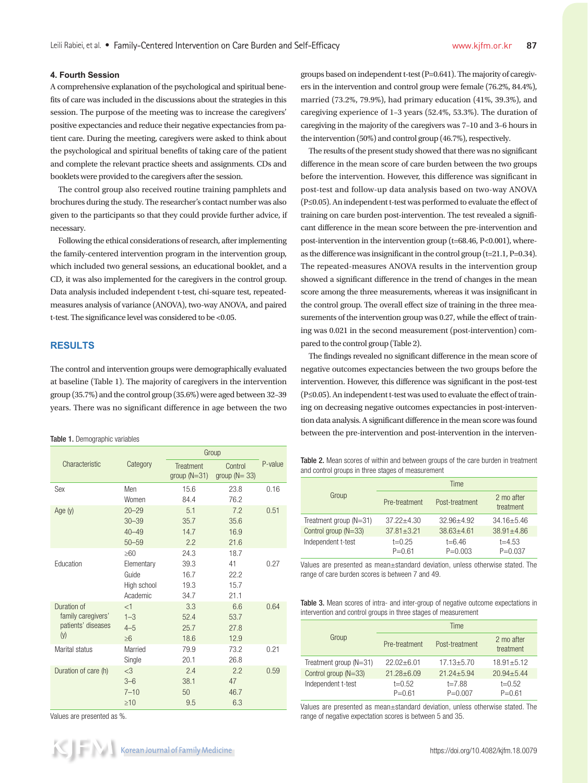## **4. Fourth Session**

A comprehensive explanation of the psychological and spiritual benefits of care was included in the discussions about the strategies in this session. The purpose of the meeting was to increase the caregivers' positive expectancies and reduce their negative expectancies from patient care. During the meeting, caregivers were asked to think about the psychological and spiritual benefits of taking care of the patient and complete the relevant practice sheets and assignments. CDs and booklets were provided to the caregivers after the session.

The control group also received routine training pamphlets and brochures during the study. The researcher's contact number was also given to the participants so that they could provide further advice, if necessary.

Following the ethical considerations of research, after implementing the family-centered intervention program in the intervention group, which included two general sessions, an educational booklet, and a CD, it was also implemented for the caregivers in the control group. Data analysis included independent t-test, chi-square test, repeatedmeasures analysis of variance (ANOVA), two-way ANOVA, and paired t-test. The significance level was considered to be <0.05.

# **RESULTS**

The control and intervention groups were demographically evaluated at baseline (Table 1). The majority of caregivers in the intervention group (35.7%) and the control group (35.6%) were aged between 32–39 years. There was no significant difference in age between the two

|                                                                |                                                             | Group                                 |                                    |         |  |
|----------------------------------------------------------------|-------------------------------------------------------------|---------------------------------------|------------------------------------|---------|--|
| Characteristic                                                 | Category                                                    | <b>Treatment</b><br>group $(N=31)$    | Control<br>group $(N = 33)$        | P-value |  |
| Sex                                                            | Men<br>Women                                                | 15.6<br>84.4                          | 23.8<br>76.2                       | 0.16    |  |
| Age $(y)$                                                      | $20 - 29$<br>$30 - 39$<br>$40 - 49$<br>$50 - 59$            | 5.1<br>35.7<br>14.7<br>2.2            | 7.2<br>35.6<br>16.9<br>21.6        | 0.51    |  |
| Education                                                      | $\geq 60$<br>Elementary<br>Guide<br>High school<br>Academic | 24.3<br>39.3<br>16.7<br>19.3<br>34.7  | 18.7<br>41<br>22.2<br>15.7<br>21.1 | 0.27    |  |
| Duration of<br>family caregivers'<br>patients' diseases<br>(y) | <1<br>$1 - 3$<br>$4 - 5$<br>$\geq 6$                        | 3.3<br>52.4<br>25.7<br>18.6           | 6.6<br>53.7<br>27.8<br>12.9        | 0.64    |  |
| Marital status                                                 | Married<br>Single                                           | 79.9<br>20.1                          | 73.2<br>26.8                       | 0.21    |  |
| Duration of care (h)                                           | $<$ 3<br>$3 - 6$<br>$7 - 10$<br>$\geq 10$                   | 2.4<br>38.1<br>50 <sup>°</sup><br>9.5 | 2.2<br>47<br>46.7<br>6.3           | 0.59    |  |

Values are presented as %.

groups based on independent t-test (P=0.641). The majority of caregiv-

The results of the present study showed that there was no significant difference in the mean score of care burden between the two groups before the intervention. However, this difference was significant in post-test and follow-up data analysis based on two-way ANOVA (P≤0.05). An independent t-test was performed to evaluate the effect of training on care burden post-intervention. The test revealed a significant difference in the mean score between the pre-intervention and post-intervention in the intervention group (t=68.46, P<0.001), whereas the difference was insignificant in the control group (t=21.1, P=0.34). The repeated-measures ANOVA results in the intervention group showed a significant difference in the trend of changes in the mean score among the three measurements, whereas it was insignificant in the control group. The overall effect size of training in the three measurements of the intervention group was 0.27, while the effect of training was 0.021 in the second measurement (post-intervention) compared to the control group (Table 2).

The findings revealed no significant difference in the mean score of negative outcomes expectancies between the two groups before the intervention. However, this difference was significant in the post-test (P≤0.05). An independent t-test was used to evaluate the effect of training on decreasing negative outcomes expectancies in post-intervention data analysis. A significant difference in the mean score was found Table 1. Demographic variables **and the intervention and post-intervention in the interven-** Table 1. Demographic variables

Table 2. Mean scores of within and between groups of the care burden in treatment and control groups in three stages of measurement

|                        |                        | Time                      |                           |
|------------------------|------------------------|---------------------------|---------------------------|
| Group                  | Pre-treatment          | Post-treatment            | 2 mo after<br>treatment   |
| Treatment group (N=31) | $37.22 + 4.30$         | $32.96 + 4.92$            | $34.16 + 5.46$            |
| Control group (N=33)   | $37.81 + 3.21$         | $38.63 + 4.61$            | $38.91 + 4.86$            |
| Independent t-test     | $t=0.25$<br>$P = 0.61$ | $t = 6.46$<br>$P = 0.003$ | $t = 4.53$<br>$P = 0.037$ |

Values are presented as mean±standard deviation, unless otherwise stated. The range of care burden scores is between 7 and 49.

Table 3. Mean scores of intra- and inter-group of negative outcome expectations in intervention and control groups in three stages of measurement

|                          | <b>Time</b>                     |                           |                         |  |  |
|--------------------------|---------------------------------|---------------------------|-------------------------|--|--|
| Group                    | Post-treatment<br>Pre-treatment |                           | 2 mo after<br>treatment |  |  |
| Treatment group $(N=31)$ | $22.02 + 6.01$                  | $17.13 + 5.70$            | $18.91 + 5.12$          |  |  |
| Control group (N=33)     | $21.28 + 6.09$                  | $21.24 + 5.94$            | $20.94 + 5.44$          |  |  |
| Independent t-test       | $t=0.52$<br>$P = 0.61$          | $t = 7.88$<br>$P = 0.007$ | $t=0.52$<br>$P = 0.61$  |  |  |

Values are presented as mean±standard deviation, unless otherwise stated. The range of negative expectation scores is between 5 and 35.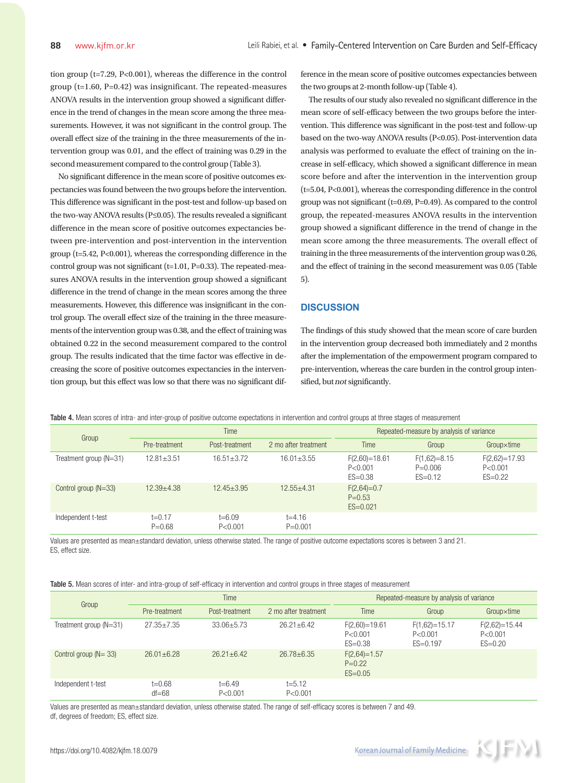tion group ( $t=7.29$ ,  $P<0.001$ ), whereas the difference in the control group ( $t=1.60$ ,  $P=0.42$ ) was insignificant. The repeated-measures ANOVA results in the intervention group showed a significant difference in the trend of changes in the mean score among the three measurements. However, it was not significant in the control group. The overall effect size of the training in the three measurements of the intervention group was 0.01, and the effect of training was 0.29 in the second measurement compared to the control group (Table 3).

No significant difference in the mean score of positive outcomes expectancies was found between the two groups before the intervention. This difference was significant in the post-test and follow-up based on the two-way ANOVA results (P≤0.05). The results revealed a significant difference in the mean score of positive outcomes expectancies between pre-intervention and post-intervention in the intervention group (t=5.42, P<0.001), whereas the corresponding difference in the control group was not significant ( $t=1.01$ ,  $P=0.33$ ). The repeated-measures ANOVA results in the intervention group showed a significant difference in the trend of change in the mean scores among the three measurements. However, this difference was insignificant in the control group. The overall effect size of the training in the three measurements of the intervention group was 0.38, and the effect of training was obtained 0.22 in the second measurement compared to the control group. The results indicated that the time factor was effective in decreasing the score of positive outcomes expectancies in the intervention group, but this effect was low so that there was no significant dif-

ference in the mean score of positive outcomes expectancies between the two groups at 2-month follow-up (Table 4).

The results of our study also revealed no significant difference in the mean score of self-efficacy between the two groups before the intervention. This difference was significant in the post-test and follow-up based on the two-way ANOVA results (P<0.05). Post-intervention data analysis was performed to evaluate the effect of training on the increase in self-efficacy, which showed a significant difference in mean score before and after the intervention in the intervention group (t=5.04, P<0.001), whereas the corresponding difference in the control group was not significant (t=0.69, P=0.49). As compared to the control group, the repeated-measures ANOVA results in the intervention group showed a significant difference in the trend of change in the mean score among the three measurements. The overall effect of training in the three measurements of the intervention group was 0.26, and the effect of training in the second measurement was 0.05 (Table 5).

### **DISCUSSION**

The findings of this study showed that the mean score of care burden in the intervention group decreased both immediately and 2 months after the implementation of the empowerment program compared to pre-intervention, whereas the care burden in the control group intensified, but not significantly.

Table 4. Mean scores of intra- and inter-group of positive outcome expectations in intervention and control groups at three stages of measurement

| Group                    | Time                   |                         |                           | Repeated-measure by analysis of variance    |                                            |                                           |
|--------------------------|------------------------|-------------------------|---------------------------|---------------------------------------------|--------------------------------------------|-------------------------------------------|
|                          | Pre-treatment          | Post-treatment          | 2 mo after treatment      | Time                                        | Group                                      | Groupxtime                                |
| Treatment group $(N=31)$ | $12.81 + 3.51$         | $16.51 + 3.72$          | $16.01 + 3.55$            | $F(2,60)=18.61$<br>P < 0.001<br>$ES = 0.38$ | $F(1,62)=8.15$<br>$P = 0.006$<br>$ES=0.12$ | $F(2,62)=17.93$<br>P < 0.001<br>$ES=0.22$ |
| Control group $(N=33)$   | $12.39 + 4.38$         | $12.45 + 3.95$          | $12.55 + 4.31$            | $F(2,64)=0.7$<br>$P = 0.53$<br>$ES = 0.021$ |                                            |                                           |
| Independent t-test       | $t=0.17$<br>$P = 0.68$ | $t = 6.09$<br>P < 0.001 | $t = 4.16$<br>$P = 0.001$ |                                             |                                            |                                           |

Values are presented as mean±standard deviation, unless otherwise stated. The range of positive outcome expectations scores is between 3 and 21. ES, effect size.

| Table 5. Mean scores of inter- and intra-group of self-efficacy in intervention and control groups in three stages of measurement |  |  |  |  |  |
|-----------------------------------------------------------------------------------------------------------------------------------|--|--|--|--|--|
|-----------------------------------------------------------------------------------------------------------------------------------|--|--|--|--|--|

| Group                    | <b>Time</b>           |                         |                         | Repeated-measure by analysis of variance    |                                            |                                             |
|--------------------------|-----------------------|-------------------------|-------------------------|---------------------------------------------|--------------------------------------------|---------------------------------------------|
|                          | Pre-treatment         | Post-treatment          | 2 mo after treatment    | Time                                        | Group                                      | Groupxtime                                  |
| Treatment group $(N=31)$ | $27.35 + 7.35$        | $33.06 + 5.73$          | $26.21 + 6.42$          | $F(2,60)=19.61$<br>P < 0.001<br>$ES = 0.38$ | $F(1,62)=15.17$<br>P < 0.001<br>$ES=0.197$ | $F(2,62)=15.44$<br>P < 0.001<br>$ES = 0.20$ |
| Control group $(N = 33)$ | $26.01 + 6.28$        | $26.21 + 6.42$          | $26.78 + 6.35$          | $F(2,64)=1.57$<br>$P=0.22$<br>$ES = 0.05$   |                                            |                                             |
| Independent t-test       | $t=0.68$<br>$df = 68$ | $t = 6.49$<br>P < 0.001 | $t = 5.12$<br>P < 0.001 |                                             |                                            |                                             |

Values are presented as mean±standard deviation, unless otherwise stated. The range of self-efficacy scores is between 7 and 49. df, degrees of freedom; ES, effect size.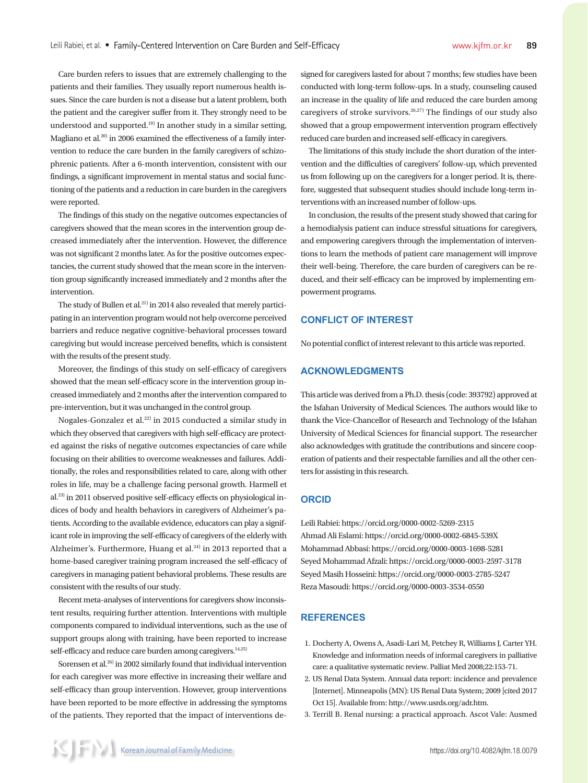Care burden refers to issues that are extremely challenging to the patients and their families. They usually report numerous health issues. Since the care burden is not a disease but a latent problem, both the patient and the caregiver suffer from it. They strongly need to be understood and supported.<sup>19)</sup> In another study in a similar setting, Magliano et al.<sup>20)</sup> in 2006 examined the effectiveness of a family intervention to reduce the care burden in the family caregivers of schizophrenic patients. After a 6-month intervention, consistent with our findings, a significant improvement in mental status and social functioning of the patients and a reduction in care burden in the caregivers were reported.

The findings of this study on the negative outcomes expectancies of caregivers showed that the mean scores in the intervention group decreased immediately after the intervention. However, the difference was not significant 2 months later. As for the positive outcomes expectancies, the current study showed that the mean score in the intervention group significantly increased immediately and 2 months after the intervention.

The study of Bullen et al.<sup>21)</sup> in 2014 also revealed that merely participating in an intervention program would not help overcome perceived barriers and reduce negative cognitive-behavioral processes toward caregiving but would increase perceived benefits, which is consistent with the results of the present study.

Moreover, the findings of this study on self-efficacy of caregivers showed that the mean self-efficacy score in the intervention group increased immediately and 2 months after the intervention compared to pre-intervention, but it was unchanged in the control group.

Nogales-Gonzalez et al.<sup>22)</sup> in 2015 conducted a similar study in which they observed that caregivers with high self-efficacy are protected against the risks of negative outcomes expectancies of care while focusing on their abilities to overcome weaknesses and failures. Additionally, the roles and responsibilities related to care, along with other roles in life, may be a challenge facing personal growth. Harmell et al.23) in 2011 observed positive self-efficacy effects on physiological indices of body and health behaviors in caregivers of Alzheimer's patients. According to the available evidence, educators can play a significant role in improving the self-efficacy of caregivers of the elderly with Alzheimer's. Furthermore, Huang et al. $24$  in 2013 reported that a home-based caregiver training program increased the self-efficacy of caregivers in managing patient behavioral problems. These results are consistent with the results of our study.

Recent meta-analyses of interventions for caregivers show inconsistent results, requiring further attention. Interventions with multiple components compared to individual interventions, such as the use of support groups along with training, have been reported to increase self-efficacy and reduce care burden among caregivers.<sup>14,25)</sup>

Sorensen et al.26) in 2002 similarly found that individual intervention for each caregiver was more effective in increasing their welfare and self-efficacy than group intervention. However, group interventions have been reported to be more effective in addressing the symptoms of the patients. They reported that the impact of interventions designed for caregivers lasted for about 7 months; few studies have been conducted with long-term follow-ups. In a study, counseling caused an increase in the quality of life and reduced the care burden among caregivers of stroke survivors.<sup>26,27)</sup> The findings of our study also showed that a group empowerment intervention program effectively reduced care burden and increased self-efficacy in caregivers.

The limitations of this study include the short duration of the intervention and the difficulties of caregivers' follow-up, which prevented us from following up on the caregivers for a longer period. It is, therefore, suggested that subsequent studies should include long-term interventions with an increased number of follow-ups.

In conclusion, the results of the present study showed that caring for a hemodialysis patient can induce stressful situations for caregivers, and empowering caregivers through the implementation of interventions to learn the methods of patient care management will improve their well-being. Therefore, the care burden of caregivers can be reduced, and their self-efficacy can be improved by implementing empowerment programs.

# **CONFLICT OF INTEREST**

No potential conflict of interest relevant to this article was reported.

# **ACKNOWLEDGMENTS**

This article was derived from a Ph.D. thesis (code: 393792) approved at the Isfahan University of Medical Sciences. The authors would like to thank the Vice-Chancellor of Research and Technology of the Isfahan University of Medical Sciences for financial support. The researcher also acknowledges with gratitude the contributions and sincere cooperation of patients and their respectable families and all the other centers for assisting in this research.

#### **ORCID**

Leili Rabiei: https://orcid.org/0000-0002-5269-2315 Ahmad Ali Eslami: https://orcid.org/0000-0002-6845-539X Mohammad Abbasi: https://orcid.org/0000-0003-1698-5281 Seyed Mohammad Afzali: https://orcid.org/0000-0003-2597-3178 Seyed Masih Hosseini: https://orcid.org/0000-0003-2785-5247 Reza Masoudi: https://orcid.org/0000-0003-3534-0550

## **REFERENCES**

- 1. Docherty A, Owens A, Asadi-Lari M, Petchey R, Williams J, Carter YH. Knowledge and information needs of informal caregivers in palliative care: a qualitative systematic review. Palliat Med 2008;22:153-71.
- 2. US Renal Data System. Annual data report: incidence and prevalence [Internet]. Minneapolis (MN): US Renal Data System; 2009 [cited 2017 Oct 15]. Available from: http://www.usrds.org/adr.htm.
- 3. Terrill B. Renal nursing: a practical approach. Ascot Vale: Ausmed